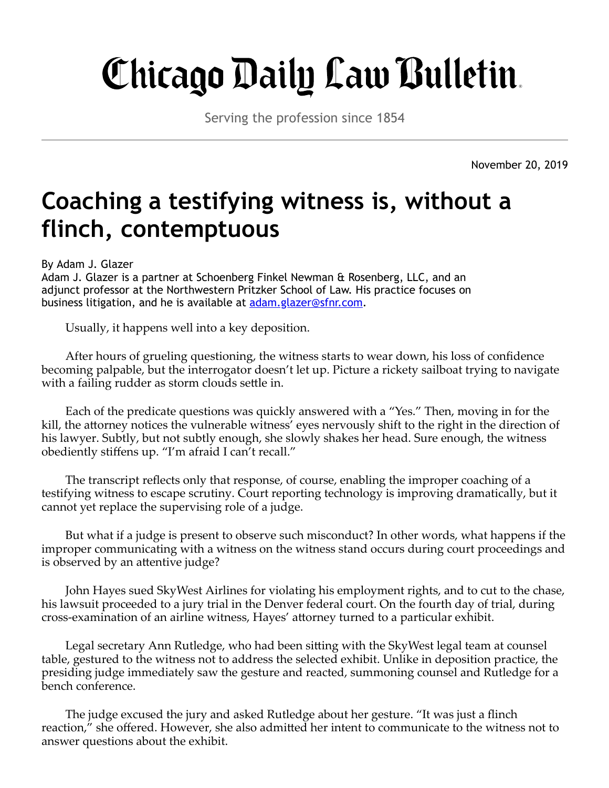## Chicago Daily Law Bulletin.

Serving the profession since 1854

November 20, 2019

## **Coaching a testifying witness is, without a flinch, contemptuous**

By Adam J. Glazer

Adam J. Glazer is a partner at Schoenberg Finkel Newman & Rosenberg, LLC, and an adjunct professor at the Northwestern Pritzker School of Law. His practice focuses on business litigation, and he is available at **[adam.glazer@sfnr.com.](mailto:adam.glazer@sfnr.com)** 

Usually, it happens well into a key deposition.

After hours of grueling questioning, the witness starts to wear down, his loss of confidence becoming palpable, but the interrogator doesn't let up. Picture a rickety sailboat trying to navigate with a failing rudder as storm clouds settle in.

Each of the predicate questions was quickly answered with a "Yes." Then, moving in for the kill, the attorney notices the vulnerable witness' eyes nervously shift to the right in the direction of his lawyer. Subtly, but not subtly enough, she slowly shakes her head. Sure enough, the witness obediently stiffens up. "I'm afraid I can't recall."

The transcript reflects only that response, of course, enabling the improper coaching of a testifying witness to escape scrutiny. Court reporting technology is improving dramatically, but it cannot yet replace the supervising role of a judge.

But what if a judge is present to observe such misconduct? In other words, what happens if the improper communicating with a witness on the witness stand occurs during court proceedings and is observed by an attentive judge?

John Hayes sued SkyWest Airlines for violating his employment rights, and to cut to the chase, his lawsuit proceeded to a jury trial in the Denver federal court. On the fourth day of trial, during cross-examination of an airline witness, Hayes' attorney turned to a particular exhibit.

Legal secretary Ann Rutledge, who had been sitting with the SkyWest legal team at counsel table, gestured to the witness not to address the selected exhibit. Unlike in deposition practice, the presiding judge immediately saw the gesture and reacted, summoning counsel and Rutledge for a bench conference.

The judge excused the jury and asked Rutledge about her gesture. "It was just a flinch reaction," she offered. However, she also admitted her intent to communicate to the witness not to answer questions about the exhibit.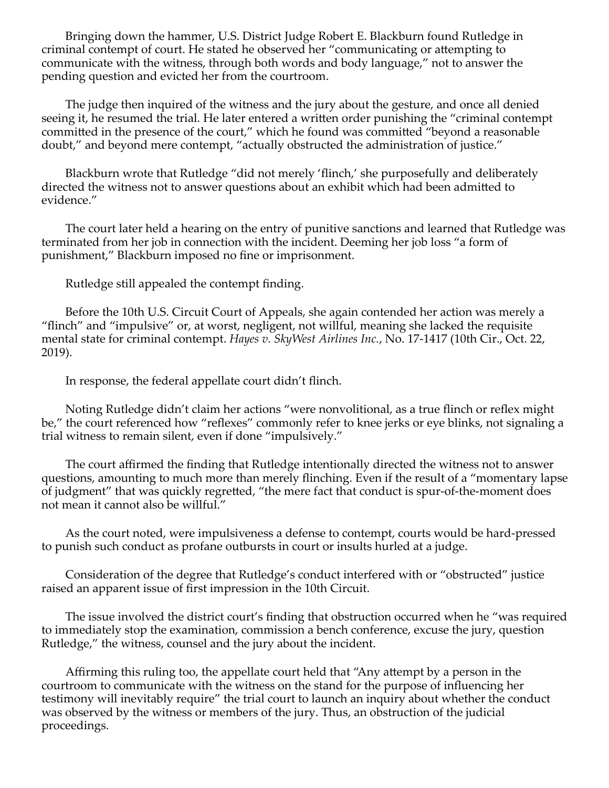Bringing down the hammer, U.S. District Judge Robert E. Blackburn found Rutledge in criminal contempt of court. He stated he observed her "communicating or attempting to communicate with the witness, through both words and body language," not to answer the pending question and evicted her from the courtroom.

The judge then inquired of the witness and the jury about the gesture, and once all denied seeing it, he resumed the trial. He later entered a written order punishing the "criminal contempt" committed in the presence of the court," which he found was committed "beyond a reasonable doubt," and beyond mere contempt, "actually obstructed the administration of justice."

Blackburn wrote that Rutledge "did not merely 'flinch,' she purposefully and deliberately directed the witness not to answer questions about an exhibit which had been admitted to evidence."

The court later held a hearing on the entry of punitive sanctions and learned that Rutledge was terminated from her job in connection with the incident. Deeming her job loss "a form of punishment," Blackburn imposed no fine or imprisonment.

Rutledge still appealed the contempt finding.

Before the 10th U.S. Circuit Court of Appeals, she again contended her action was merely a "flinch" and "impulsive" or, at worst, negligent, not willful, meaning she lacked the requisite mental state for criminal contempt. *Hayes v. SkyWest Airlines Inc.*, No. 17-1417 (10th Cir., Oct. 22, 2019).

In response, the federal appellate court didn't flinch.

Noting Rutledge didn't claim her actions "were nonvolitional, as a true flinch or reflex might be," the court referenced how "reflexes" commonly refer to knee jerks or eye blinks, not signaling a trial witness to remain silent, even if done "impulsively."

The court affirmed the finding that Rutledge intentionally directed the witness not to answer questions, amounting to much more than merely flinching. Even if the result of a "momentary lapse of judgment" that was quickly regretted, "the mere fact that conduct is spur-of-the-moment does not mean it cannot also be willful."

As the court noted, were impulsiveness a defense to contempt, courts would be hard-pressed to punish such conduct as profane outbursts in court or insults hurled at a judge.

Consideration of the degree that Rutledge's conduct interfered with or "obstructed" justice raised an apparent issue of first impression in the 10th Circuit.

The issue involved the district court's finding that obstruction occurred when he "was required to immediately stop the examination, commission a bench conference, excuse the jury, question Rutledge," the witness, counsel and the jury about the incident.

Affirming this ruling too, the appellate court held that "Any attempt by a person in the courtroom to communicate with the witness on the stand for the purpose of influencing her testimony will inevitably require" the trial court to launch an inquiry about whether the conduct was observed by the witness or members of the jury. Thus, an obstruction of the judicial proceedings.